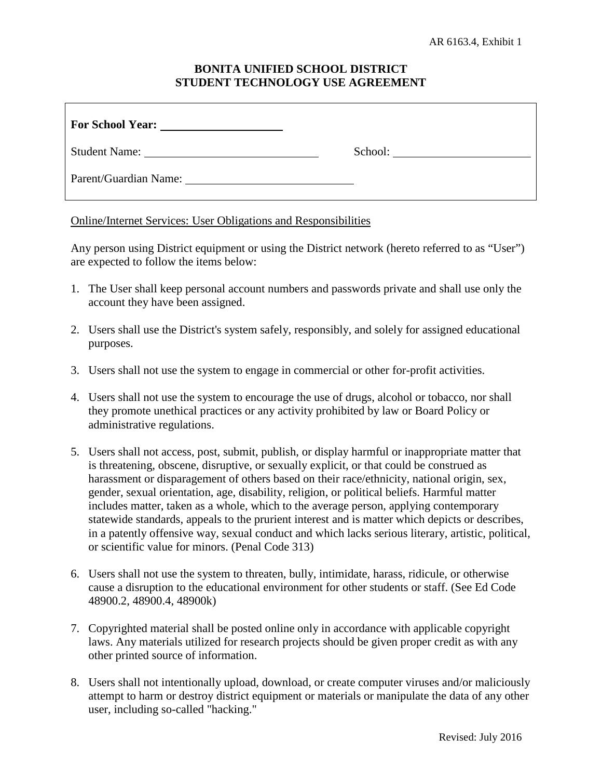# **BONITA UNIFIED SCHOOL DISTRICT STUDENT TECHNOLOGY USE AGREEMENT**

| Student Name:                                                                                                                                                                                                                  | School: |
|--------------------------------------------------------------------------------------------------------------------------------------------------------------------------------------------------------------------------------|---------|
| Parent/Guardian Name: 2008 and 2008 and 2008 and 2008 and 2008 and 2008 and 2008 and 2008 and 2008 and 2008 and 2008 and 2008 and 2008 and 2008 and 2008 and 2008 and 2008 and 2008 and 2008 and 2008 and 2008 and 2008 and 20 |         |

Online/Internet Services: User Obligations and Responsibilities

Any person using District equipment or using the District network (hereto referred to as "User") are expected to follow the items below:

- 1. The User shall keep personal account numbers and passwords private and shall use only the account they have been assigned.
- 2. Users shall use the District's system safely, responsibly, and solely for assigned educational purposes.
- 3. Users shall not use the system to engage in commercial or other for-profit activities.
- 4. Users shall not use the system to encourage the use of drugs, alcohol or tobacco, nor shall they promote unethical practices or any activity prohibited by law or Board Policy or administrative regulations.
- 5. Users shall not access, post, submit, publish, or display harmful or inappropriate matter that is threatening, obscene, disruptive, or sexually explicit, or that could be construed as harassment or disparagement of others based on their race/ethnicity, national origin, sex, gender, sexual orientation, age, disability, religion, or political beliefs. Harmful matter includes matter, taken as a whole, which to the average person, applying contemporary statewide standards, appeals to the prurient interest and is matter which depicts or describes, in a patently offensive way, sexual conduct and which lacks serious literary, artistic, political, or scientific value for minors. (Penal Code 313)
- 6. Users shall not use the system to threaten, bully, intimidate, harass, ridicule, or otherwise cause a disruption to the educational environment for other students or staff. (See Ed Code 48900.2, 48900.4, 48900k)
- 7. Copyrighted material shall be posted online only in accordance with applicable copyright laws. Any materials utilized for research projects should be given proper credit as with any other printed source of information.
- 8. Users shall not intentionally upload, download, or create computer viruses and/or maliciously attempt to harm or destroy district equipment or materials or manipulate the data of any other user, including so-called "hacking."